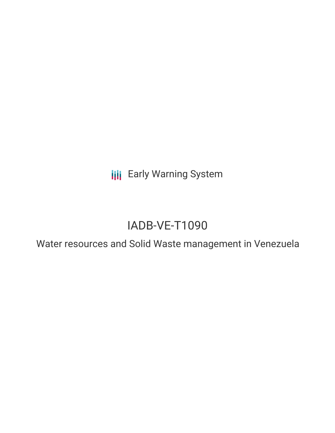**III** Early Warning System

# IADB-VE-T1090

Water resources and Solid Waste management in Venezuela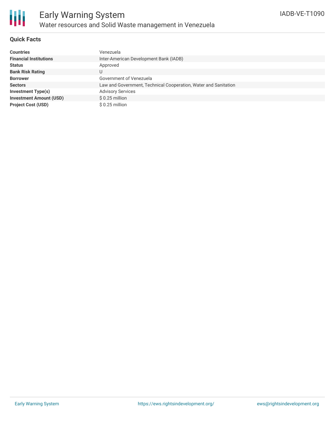

#### **Quick Facts**

| <b>Countries</b>               | Venezuela                                                       |
|--------------------------------|-----------------------------------------------------------------|
| <b>Financial Institutions</b>  | Inter-American Development Bank (IADB)                          |
| <b>Status</b>                  | Approved                                                        |
| <b>Bank Risk Rating</b>        |                                                                 |
| <b>Borrower</b>                | Government of Venezuela                                         |
| <b>Sectors</b>                 | Law and Government, Technical Cooperation, Water and Sanitation |
| <b>Investment Type(s)</b>      | <b>Advisory Services</b>                                        |
| <b>Investment Amount (USD)</b> | $$0.25$ million                                                 |
| <b>Project Cost (USD)</b>      | $$0.25$ million                                                 |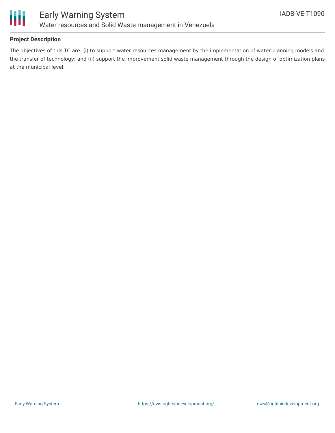

#### **Project Description**

The objectives of this TC are: (i) to support water resources management by the implementation of water planning models and the transfer of technology; and (ii) support the improvement solid waste management through the design of optimization plans at the municipal level.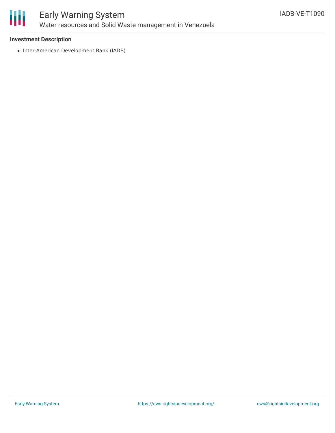

### Early Warning System Water resources and Solid Waste management in Venezuela

#### **Investment Description**

• Inter-American Development Bank (IADB)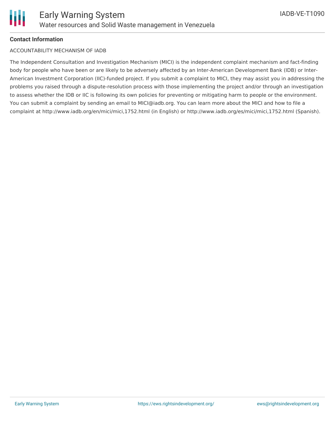

#### **Contact Information**

#### ACCOUNTABILITY MECHANISM OF IADB

The Independent Consultation and Investigation Mechanism (MICI) is the independent complaint mechanism and fact-finding body for people who have been or are likely to be adversely affected by an Inter-American Development Bank (IDB) or Inter-American Investment Corporation (IIC)-funded project. If you submit a complaint to MICI, they may assist you in addressing the problems you raised through a dispute-resolution process with those implementing the project and/or through an investigation to assess whether the IDB or IIC is following its own policies for preventing or mitigating harm to people or the environment. You can submit a complaint by sending an email to MICI@iadb.org. You can learn more about the MICI and how to file a complaint at http://www.iadb.org/en/mici/mici,1752.html (in English) or http://www.iadb.org/es/mici/mici,1752.html (Spanish).